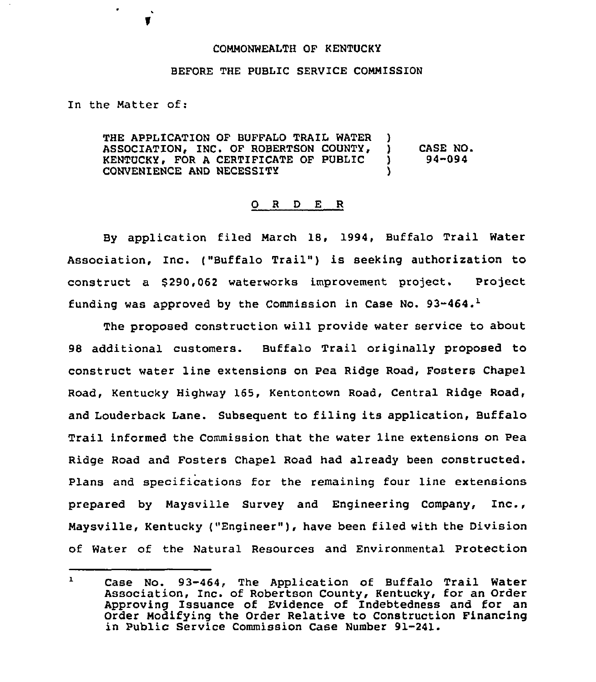## COMMONWEALTH OF KENTUCKY

## BEFORE THE PUBLIC SERVICE COMMISSION

In the Matter of:

THE APPLICATION OF BUFFALO TRAIL WATER )<br>ASSOCIATION. INC. OF ROBERTSON COUNTY, ) ASSOCIATION, INC. OF ROBERTSON COUNTY, ) CASE NO.<br>KENTUCKY, FOR A CERTIFICATE OF PUBLIC ) 94-094 KENTUCKY, FOR A CERTIFICATE OF PUBLIC )<br>CONVENIENCE AND NECESSITY CONVENIENCE AND NECESSITY

## 0 <sup>R</sup> <sup>D</sup> E <sup>R</sup>

By application filed March 18, 1994, Buffalo Trail Water Association, Inc. ("Buffalo Trail") is seeking authorization to construct a \$290,062 waterworks improvement project. Project funding was approved by the Commission in Case No.  $93-464$ .

The proposed construction will provide water service to about 98 additional customers. Buffalo Trail originally proposed to construct water line extensions on Pea Ridge Road, Fosters Chapel Road, Kentucky Highway 165, Kentontown Road. Central Ridge Road, and Louderback Lane. Subsequent to filing its application, Buffalo Trail informed the Commission that the water line extensions on Pea Ridge Road and Fosters Chapel Road had already been constructed. Plans and specifications for the remaining four line extensions prepared by Maysville Survey and Engineering Company, Inc., Maysville, Kentucky {"Engineer"), have been filed with the Division of water of the Natural Resources and Environmental protection

 $\mathbf{1}$ Case No. 93-464, The Application of Buffalo Trail Water Association, Inc. of Robertson County, Kentucky, for an Order Approving Issuance of Evidence of Indebtedness and for an Order Modifying the Order Relative to Construction Financing in Public Service Commission Case Number 91-241.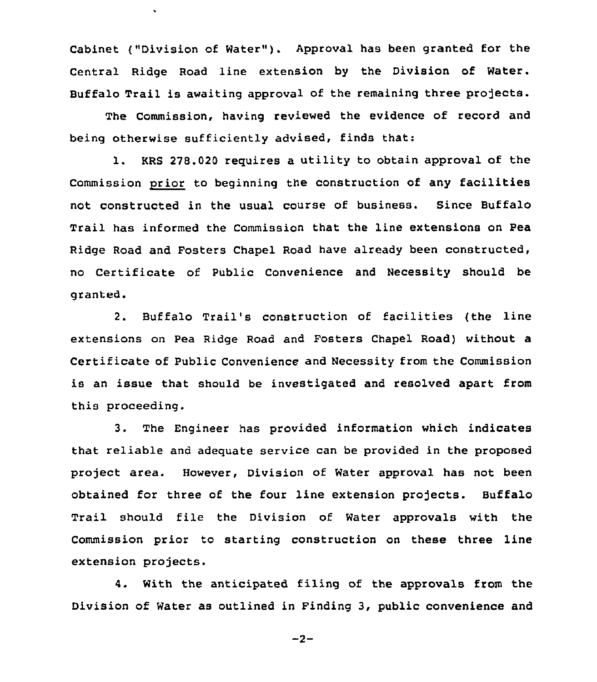Cabinet ("Division of Water"). Approval has been granted for the Central Ridge Road line extension by the Division of Water. Buffalo Trail is awaiting approval of the remaining three projects.

 $\ddot{\phantom{0}}$ 

The Commission, having reviewed the evidence of record and being otherwise sufficiently advised, finds that:

1. KRS 278.020 requires a utility to obtain approval of the Commission prior to beginning the construction of any facilities not constructed in the usual course of business. Since Buffalo Trail has informed the Commission that the line extensions on Pea Ridge Road and Fosters Chapel Road have already been constructed, no Certificate of Public Convenience and Necessity should be granted.

2. Buffalo Trail's construction of facilities {the line extensions on Pea Ridge Road and Fosters Chapel Road) without a Certificate of Public Convenience and Necessity from the Commission is an issue that should be investigated and resolved apart from this proceeding.

3. The Engineer has provided information which indicates that reliable and adequate service can be provided in the proposed project area. However, Division of Water approval has not been obtained for three of the four line extension projects. Buffalo Trail should file the Division of Water approvals with the Commission prior to starting construction on these three line extension projects.

With the anticipated filing of the approvals from the Division of Water as outlined in Finding 3, public convenience and

 $-2-$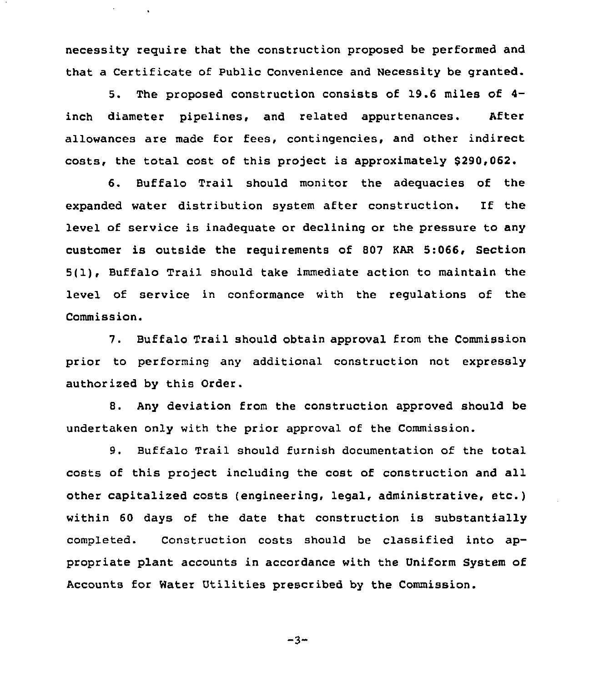necessity require that the construction proposed be performed and that a Certificate of Public Convenience and Necessity be granted.

5. The proposed construction consists of 19.6 miles of 4 inch diameter pipelines, and related appurtenances. After allowances are made for fees, contingencies, and other indirect costs, the total cost of this project is approximately \$290,062.

6. Buffalo Trail should monitor the adequacies of the expanded water distribution system after construction. If the level of service is inadequate or declining or the pressure to any customer is outside the requirements of 807 KAR 5:066, Section 5(1), Buffalo Trail should take immediate action to maintain the level of service in conformance with the regulations of the Commission.

7. Buffalo Trail should obtain approval from the Commission prior to performing any additional construction not expressly authorized by this Order.

8. Any deviation from the construction approved should be undertaken only with the prior approval of the Commission.

9. Buffalo Trail should furnish documentation of the total costs of this project including the cost of construction and all other capitalized costs (engineering, legal, administrative, etc.) within 60 days of the date that construction is substantially completed. Construction costs should be classified into appropriate plant accounts in accordance with the Uniform System of Accounts for Water Utilities prescribed by the Commission.

$$
-3 -
$$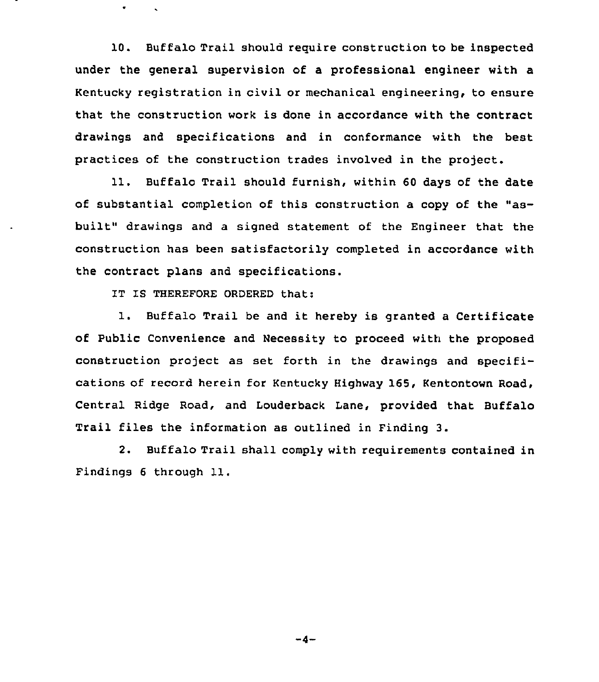10. Buffalo Trail should require construction to be inspected under the general supervision of a professional engineer with a Kentucky registration in civil or mechanical engineering, to ensure that the construction work is done in accordance with the contract drawings and specifications and in conformance with the best practices of the construction trades involved in the project.

11. Buffalo Trail should furnish, within 60 days of the date of substantial completion of this construction a copy of the "asbuilt" drawings and a signed statement of the Engineer that the construction has been satisfactorily completed in accordance with the contract plans and specifications.

IT IS THEREFORE ORDERED that:

 $\bullet$ 

1. Buffalo Trail be and it hereby is granted <sup>a</sup> Certificate of Public Convenience and Necessity to proceed with the proposed construction project as set forth in the drawings and specifications of record herein for Kentucky Highway 165, Kentontown Road, Central Ridge Road, and Louderback Lane, provided that Buffalo Trail files the information as outlined in Finding 3.

2. Buffalo Trail shall comply with requirements contained in Findings <sup>6</sup> through 11.

 $-4-$